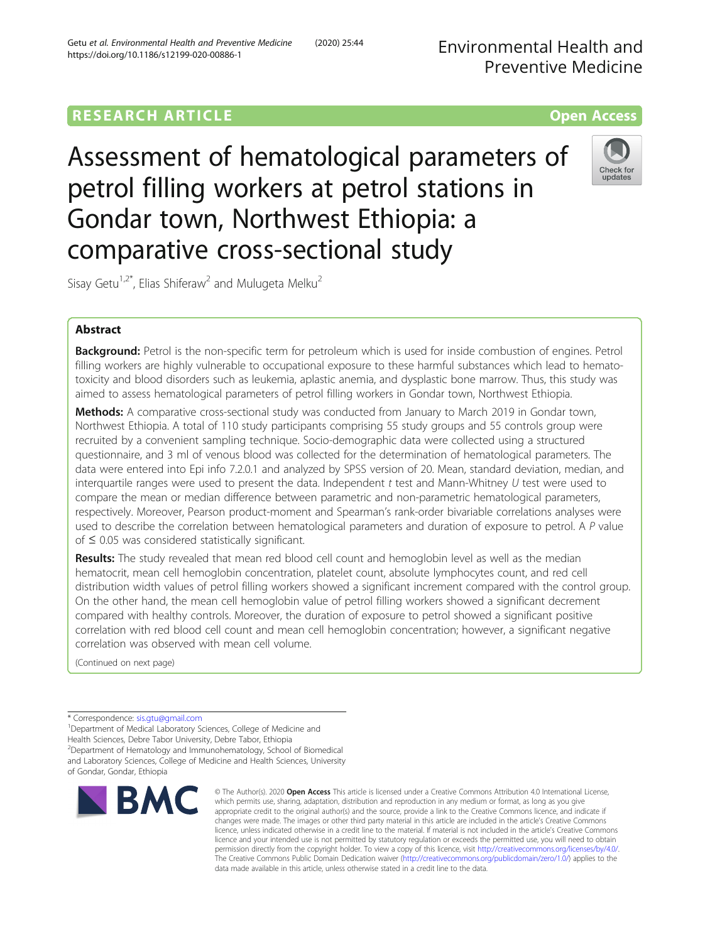# **RESEARCH ARTICLE Example 2014 12:30 The Contract of Contract ACCESS**

Assessment of hematological parameters of petrol filling workers at petrol stations in Gondar town, Northwest Ethiopia: a comparative cross-sectional study



Sisay Getu<sup>1,2\*</sup>, Elias Shiferaw<sup>2</sup> and Mulugeta Melku<sup>2</sup>

# Abstract

Background: Petrol is the non-specific term for petroleum which is used for inside combustion of engines. Petrol filling workers are highly vulnerable to occupational exposure to these harmful substances which lead to hematotoxicity and blood disorders such as leukemia, aplastic anemia, and dysplastic bone marrow. Thus, this study was aimed to assess hematological parameters of petrol filling workers in Gondar town, Northwest Ethiopia.

Methods: A comparative cross-sectional study was conducted from January to March 2019 in Gondar town, Northwest Ethiopia. A total of 110 study participants comprising 55 study groups and 55 controls group were recruited by a convenient sampling technique. Socio-demographic data were collected using a structured questionnaire, and 3 ml of venous blood was collected for the determination of hematological parameters. The data were entered into Epi info 7.2.0.1 and analyzed by SPSS version of 20. Mean, standard deviation, median, and interquartile ranges were used to present the data. Independent  $t$  test and Mann-Whitney  $U$  test were used to compare the mean or median difference between parametric and non-parametric hematological parameters, respectively. Moreover, Pearson product-moment and Spearman's rank-order bivariable correlations analyses were used to describe the correlation between hematological parameters and duration of exposure to petrol. A P value of ≤ 0.05 was considered statistically significant.

Results: The study revealed that mean red blood cell count and hemoglobin level as well as the median hematocrit, mean cell hemoglobin concentration, platelet count, absolute lymphocytes count, and red cell distribution width values of petrol filling workers showed a significant increment compared with the control group. On the other hand, the mean cell hemoglobin value of petrol filling workers showed a significant decrement compared with healthy controls. Moreover, the duration of exposure to petrol showed a significant positive correlation with red blood cell count and mean cell hemoglobin concentration; however, a significant negative correlation was observed with mean cell volume.

(Continued on next page)

\* Correspondence: [sis.gtu@gmail.com](mailto:sis.gtu@gmail.com) <sup>1</sup>

<sup>1</sup>Department of Medical Laboratory Sciences, College of Medicine and Health Sciences, Debre Tabor University, Debre Tabor, Ethiopia 2 Department of Hematology and Immunohematology, School of Biomedical and Laboratory Sciences, College of Medicine and Health Sciences, University of Gondar, Gondar, Ethiopia



© The Author(s), 2020 **Open Access** This article is licensed under a Creative Commons Attribution 4.0 International License, which permits use, sharing, adaptation, distribution and reproduction in any medium or format, as long as you give appropriate credit to the original author(s) and the source, provide a link to the Creative Commons licence, and indicate if changes were made. The images or other third party material in this article are included in the article's Creative Commons licence, unless indicated otherwise in a credit line to the material. If material is not included in the article's Creative Commons licence and your intended use is not permitted by statutory regulation or exceeds the permitted use, you will need to obtain permission directly from the copyright holder. To view a copy of this licence, visit [http://creativecommons.org/licenses/by/4.0/.](http://creativecommons.org/licenses/by/4.0/) The Creative Commons Public Domain Dedication waiver [\(http://creativecommons.org/publicdomain/zero/1.0/](http://creativecommons.org/publicdomain/zero/1.0/)) applies to the data made available in this article, unless otherwise stated in a credit line to the data.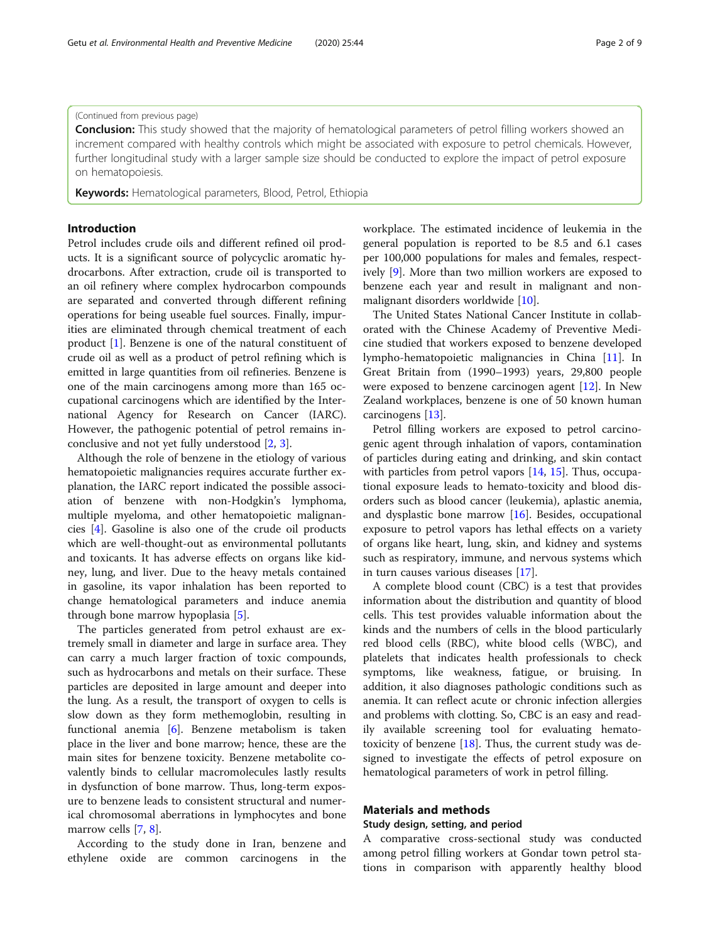### (Continued from previous page)

**Conclusion:** This study showed that the majority of hematological parameters of petrol filling workers showed an increment compared with healthy controls which might be associated with exposure to petrol chemicals. However, further longitudinal study with a larger sample size should be conducted to explore the impact of petrol exposure on hematopoiesis.

Keywords: Hematological parameters, Blood, Petrol, Ethiopia

#### Introduction

Petrol includes crude oils and different refined oil products. It is a significant source of polycyclic aromatic hydrocarbons. After extraction, crude oil is transported to an oil refinery where complex hydrocarbon compounds are separated and converted through different refining operations for being useable fuel sources. Finally, impurities are eliminated through chemical treatment of each product [\[1](#page-7-0)]. Benzene is one of the natural constituent of crude oil as well as a product of petrol refining which is emitted in large quantities from oil refineries. Benzene is one of the main carcinogens among more than 165 occupational carcinogens which are identified by the International Agency for Research on Cancer (IARC). However, the pathogenic potential of petrol remains inconclusive and not yet fully understood [[2,](#page-7-0) [3\]](#page-7-0).

Although the role of benzene in the etiology of various hematopoietic malignancies requires accurate further explanation, the IARC report indicated the possible association of benzene with non-Hodgkin's lymphoma, multiple myeloma, and other hematopoietic malignancies [\[4](#page-7-0)]. Gasoline is also one of the crude oil products which are well-thought-out as environmental pollutants and toxicants. It has adverse effects on organs like kidney, lung, and liver. Due to the heavy metals contained in gasoline, its vapor inhalation has been reported to change hematological parameters and induce anemia through bone marrow hypoplasia [\[5](#page-7-0)].

The particles generated from petrol exhaust are extremely small in diameter and large in surface area. They can carry a much larger fraction of toxic compounds, such as hydrocarbons and metals on their surface. These particles are deposited in large amount and deeper into the lung. As a result, the transport of oxygen to cells is slow down as they form methemoglobin, resulting in functional anemia [[6\]](#page-7-0). Benzene metabolism is taken place in the liver and bone marrow; hence, these are the main sites for benzene toxicity. Benzene metabolite covalently binds to cellular macromolecules lastly results in dysfunction of bone marrow. Thus, long-term exposure to benzene leads to consistent structural and numerical chromosomal aberrations in lymphocytes and bone marrow cells [\[7](#page-7-0), [8](#page-7-0)].

According to the study done in Iran, benzene and ethylene oxide are common carcinogens in the workplace. The estimated incidence of leukemia in the general population is reported to be 8.5 and 6.1 cases per 100,000 populations for males and females, respectively [[9\]](#page-7-0). More than two million workers are exposed to benzene each year and result in malignant and nonmalignant disorders worldwide [\[10](#page-7-0)].

The United States National Cancer Institute in collaborated with the Chinese Academy of Preventive Medicine studied that workers exposed to benzene developed lympho-hematopoietic malignancies in China [[11\]](#page-7-0). In Great Britain from (1990–1993) years, 29,800 people were exposed to benzene carcinogen agent [\[12\]](#page-7-0). In New Zealand workplaces, benzene is one of 50 known human carcinogens [\[13\]](#page-7-0).

Petrol filling workers are exposed to petrol carcinogenic agent through inhalation of vapors, contamination of particles during eating and drinking, and skin contact with particles from petrol vapors [\[14](#page-7-0), [15](#page-8-0)]. Thus, occupational exposure leads to hemato-toxicity and blood disorders such as blood cancer (leukemia), aplastic anemia, and dysplastic bone marrow [[16\]](#page-8-0). Besides, occupational exposure to petrol vapors has lethal effects on a variety of organs like heart, lung, skin, and kidney and systems such as respiratory, immune, and nervous systems which in turn causes various diseases [[17\]](#page-8-0).

A complete blood count (CBC) is a test that provides information about the distribution and quantity of blood cells. This test provides valuable information about the kinds and the numbers of cells in the blood particularly red blood cells (RBC), white blood cells (WBC), and platelets that indicates health professionals to check symptoms, like weakness, fatigue, or bruising. In addition, it also diagnoses pathologic conditions such as anemia. It can reflect acute or chronic infection allergies and problems with clotting. So, CBC is an easy and readily available screening tool for evaluating hematotoxicity of benzene  $[18]$  $[18]$ . Thus, the current study was designed to investigate the effects of petrol exposure on hematological parameters of work in petrol filling.

# Materials and methods

#### Study design, setting, and period

A comparative cross-sectional study was conducted among petrol filling workers at Gondar town petrol stations in comparison with apparently healthy blood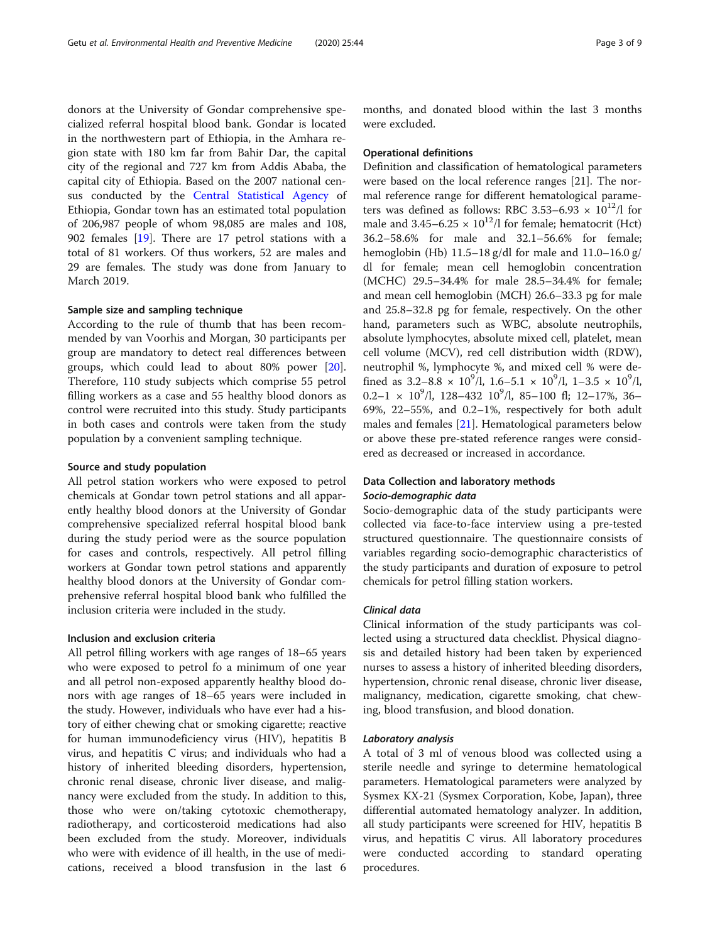donors at the University of Gondar comprehensive specialized referral hospital blood bank. Gondar is located in the northwestern part of Ethiopia, in the Amhara region state with 180 km far from Bahir Dar, the capital city of the regional and 727 km from Addis Ababa, the capital city of Ethiopia. Based on the 2007 national census conducted by the [Central Statistical Agency](https://en.wikipedia.org/wiki/Central_Statistical_Agency_(Ethiopia)) of Ethiopia, Gondar town has an estimated total population of 206,987 people of whom 98,085 are males and 108, 902 females [\[19](#page-8-0)]. There are 17 petrol stations with a total of 81 workers. Of thus workers, 52 are males and 29 are females. The study was done from January to March 2019.

#### Sample size and sampling technique

According to the rule of thumb that has been recommended by van Voorhis and Morgan, 30 participants per group are mandatory to detect real differences between groups, which could lead to about 80% power [\[20](#page-8-0)]. Therefore, 110 study subjects which comprise 55 petrol filling workers as a case and 55 healthy blood donors as control were recruited into this study. Study participants in both cases and controls were taken from the study population by a convenient sampling technique.

#### Source and study population

All petrol station workers who were exposed to petrol chemicals at Gondar town petrol stations and all apparently healthy blood donors at the University of Gondar comprehensive specialized referral hospital blood bank during the study period were as the source population for cases and controls, respectively. All petrol filling workers at Gondar town petrol stations and apparently healthy blood donors at the University of Gondar comprehensive referral hospital blood bank who fulfilled the inclusion criteria were included in the study.

## Inclusion and exclusion criteria

All petrol filling workers with age ranges of 18–65 years who were exposed to petrol fo a minimum of one year and all petrol non-exposed apparently healthy blood donors with age ranges of 18–65 years were included in the study. However, individuals who have ever had a history of either chewing chat or smoking cigarette; reactive for human immunodeficiency virus (HIV), hepatitis B virus, and hepatitis C virus; and individuals who had a history of inherited bleeding disorders, hypertension, chronic renal disease, chronic liver disease, and malignancy were excluded from the study. In addition to this, those who were on/taking cytotoxic chemotherapy, radiotherapy, and corticosteroid medications had also been excluded from the study. Moreover, individuals who were with evidence of ill health, in the use of medications, received a blood transfusion in the last 6 months, and donated blood within the last 3 months were excluded.

#### Operational definitions

Definition and classification of hematological parameters were based on the local reference ranges [21]. The normal reference range for different hematological parameters was defined as follows: RBC 3.53–6.93  $\times$  10<sup>12</sup>/l for male and  $3.45-6.25 \times 10^{12}$ /l for female; hematocrit (Hct) 36.2–58.6% for male and 32.1–56.6% for female; hemoglobin (Hb) 11.5–18 g/dl for male and 11.0–16.0 g/ dl for female; mean cell hemoglobin concentration (MCHC) 29.5–34.4% for male 28.5–34.4% for female; and mean cell hemoglobin (MCH) 26.6–33.3 pg for male and 25.8–32.8 pg for female, respectively. On the other hand, parameters such as WBC, absolute neutrophils, absolute lymphocytes, absolute mixed cell, platelet, mean cell volume (MCV), red cell distribution width (RDW), neutrophil %, lymphocyte %, and mixed cell % were defined as  $3.2-8.8 \times 10^9$ /l,  $1.6-5.1 \times 10^9$ /l,  $1-3.5 \times 10^9$ /l,  $0.2-1 \times 10^9$ /l, 128-432  $10^9$ /l, 85-100 fl; 12-17%, 36-69%, 22–55%, and 0.2–1%, respectively for both adult males and females [[21\]](#page-8-0). Hematological parameters below or above these pre-stated reference ranges were considered as decreased or increased in accordance.

# Data Collection and laboratory methods Socio-demographic data

Socio-demographic data of the study participants were collected via face-to-face interview using a pre-tested structured questionnaire. The questionnaire consists of variables regarding socio-demographic characteristics of the study participants and duration of exposure to petrol chemicals for petrol filling station workers.

# Clinical data

Clinical information of the study participants was collected using a structured data checklist. Physical diagnosis and detailed history had been taken by experienced nurses to assess a history of inherited bleeding disorders, hypertension, chronic renal disease, chronic liver disease, malignancy, medication, cigarette smoking, chat chewing, blood transfusion, and blood donation.

#### Laboratory analysis

A total of 3 ml of venous blood was collected using a sterile needle and syringe to determine hematological parameters. Hematological parameters were analyzed by Sysmex KX-21 (Sysmex Corporation, Kobe, Japan), three differential automated hematology analyzer. In addition, all study participants were screened for HIV, hepatitis B virus, and hepatitis C virus. All laboratory procedures were conducted according to standard operating procedures.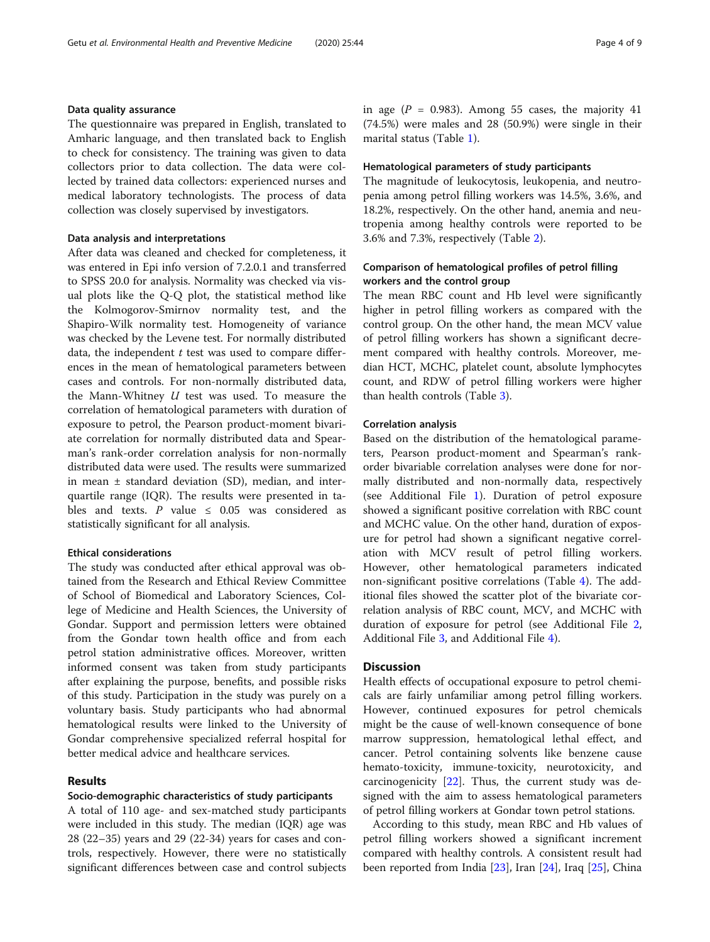Data quality assurance The questionnaire was prepared in English, translated to Amharic language, and then translated back to English to check for consistency. The training was given to data collectors prior to data collection. The data were collected by trained data collectors: experienced nurses and medical laboratory technologists. The process of data collection was closely supervised by investigators.

# Data analysis and interpretations

After data was cleaned and checked for completeness, it was entered in Epi info version of 7.2.0.1 and transferred to SPSS 20.0 for analysis. Normality was checked via visual plots like the Q-Q plot, the statistical method like the Kolmogorov-Smirnov normality test, and the Shapiro-Wilk normality test. Homogeneity of variance was checked by the Levene test. For normally distributed data, the independent  $t$  test was used to compare differences in the mean of hematological parameters between cases and controls. For non-normally distributed data, the Mann-Whitney  $U$  test was used. To measure the correlation of hematological parameters with duration of exposure to petrol, the Pearson product-moment bivariate correlation for normally distributed data and Spearman's rank-order correlation analysis for non-normally distributed data were used. The results were summarized in mean ± standard deviation (SD), median, and interquartile range (IQR). The results were presented in tables and texts. P value  $\leq$  0.05 was considered as statistically significant for all analysis.

#### Ethical considerations

The study was conducted after ethical approval was obtained from the Research and Ethical Review Committee of School of Biomedical and Laboratory Sciences, College of Medicine and Health Sciences, the University of Gondar. Support and permission letters were obtained from the Gondar town health office and from each petrol station administrative offices. Moreover, written informed consent was taken from study participants after explaining the purpose, benefits, and possible risks of this study. Participation in the study was purely on a voluntary basis. Study participants who had abnormal hematological results were linked to the University of Gondar comprehensive specialized referral hospital for better medical advice and healthcare services.

### Results

#### Socio-demographic characteristics of study participants

A total of 110 age- and sex-matched study participants were included in this study. The median (IQR) age was 28 (22–35) years and 29 (22-34) years for cases and controls, respectively. However, there were no statistically significant differences between case and control subjects in age ( $P = 0.983$ ). Among 55 cases, the majority 41 (74.5%) were males and 28 (50.9%) were single in their marital status (Table [1](#page-4-0)).

### Hematological parameters of study participants

The magnitude of leukocytosis, leukopenia, and neutropenia among petrol filling workers was 14.5%, 3.6%, and 18.2%, respectively. On the other hand, anemia and neutropenia among healthy controls were reported to be 3.6% and 7.3%, respectively (Table [2\)](#page-5-0).

# Comparison of hematological profiles of petrol filling workers and the control group

The mean RBC count and Hb level were significantly higher in petrol filling workers as compared with the control group. On the other hand, the mean MCV value of petrol filling workers has shown a significant decrement compared with healthy controls. Moreover, median HCT, MCHC, platelet count, absolute lymphocytes count, and RDW of petrol filling workers were higher than health controls (Table [3](#page-6-0)).

#### Correlation analysis

Based on the distribution of the hematological parameters, Pearson product-moment and Spearman's rankorder bivariable correlation analyses were done for normally distributed and non-normally data, respectively (see Additional File [1](#page-7-0)). Duration of petrol exposure showed a significant positive correlation with RBC count and MCHC value. On the other hand, duration of exposure for petrol had shown a significant negative correlation with MCV result of petrol filling workers. However, other hematological parameters indicated non-significant positive correlations (Table [4](#page-6-0)). The additional files showed the scatter plot of the bivariate correlation analysis of RBC count, MCV, and MCHC with duration of exposure for petrol (see Additional File [2](#page-7-0), Additional File [3](#page-7-0), and Additional File [4\)](#page-7-0).

# **Discussion**

Health effects of occupational exposure to petrol chemicals are fairly unfamiliar among petrol filling workers. However, continued exposures for petrol chemicals might be the cause of well-known consequence of bone marrow suppression, hematological lethal effect, and cancer. Petrol containing solvents like benzene cause hemato-toxicity, immune-toxicity, neurotoxicity, and carcinogenicity [[22\]](#page-8-0). Thus, the current study was designed with the aim to assess hematological parameters of petrol filling workers at Gondar town petrol stations.

According to this study, mean RBC and Hb values of petrol filling workers showed a significant increment compared with healthy controls. A consistent result had been reported from India [[23](#page-8-0)], Iran [\[24](#page-8-0)], Iraq [\[25\]](#page-8-0), China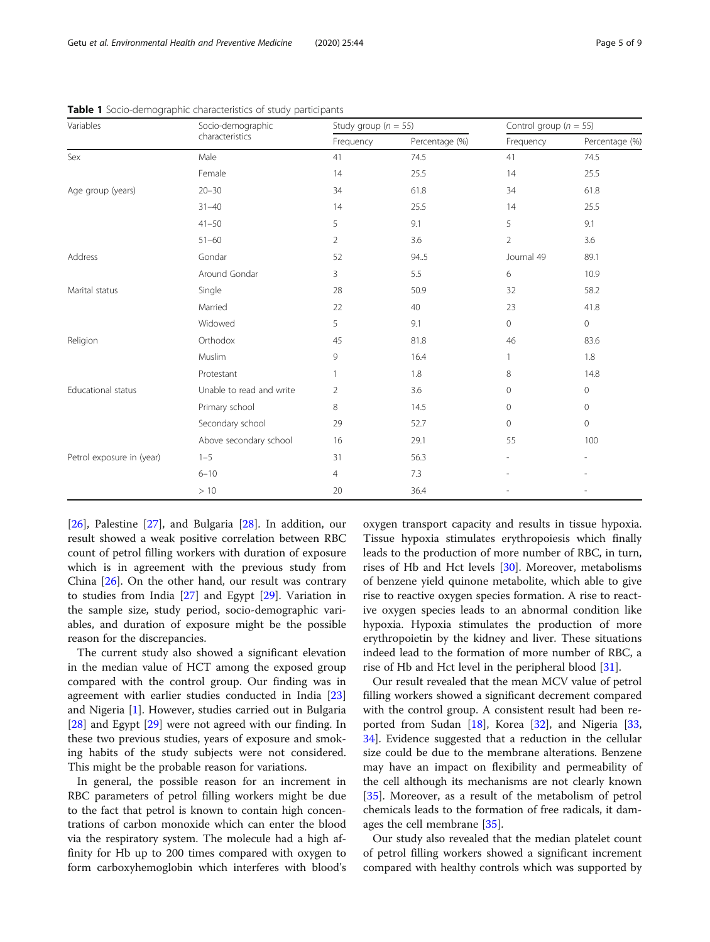| Variables                 | Socio-demographic        | Study group ( $n = 55$ ) |                | Control group ( $n = 55$ ) |                     |
|---------------------------|--------------------------|--------------------------|----------------|----------------------------|---------------------|
| characteristics           |                          | Frequency                | Percentage (%) | Frequency                  | Percentage (%)      |
| Sex                       | Male                     | 41                       | 74.5           | 41                         | 74.5                |
|                           | Female                   | 14                       | 25.5           | 14                         | 25.5                |
| Age group (years)         | $20 - 30$                | 34                       | 61.8           | 34                         | 61.8                |
|                           | $31 - 40$                | 14                       | 25.5           | 14                         | 25.5                |
|                           | $41 - 50$                | 5                        | 9.1            | 5                          | 9.1                 |
|                           | $51 - 60$                | $\overline{2}$           | 3.6            | $\overline{2}$             | 3.6                 |
| Address                   | Gondar                   | 52                       | 94.5           | Journal 49                 | 89.1                |
|                           | Around Gondar            | 3                        | 5.5            | 6                          | 10.9                |
| Marital status            | Single                   | 28                       | 50.9           | 32                         | 58.2                |
|                           | Married                  | 22                       | 40             | 23                         | 41.8                |
|                           | Widowed                  | 5                        | 9.1            | $\mathbf{0}$               | $\mathbf 0$         |
| Religion                  | Orthodox                 | 45                       | 81.8           | 46                         | 83.6                |
|                           | Muslim                   | 9                        | 16.4           | 1                          | 1.8                 |
|                           | Protestant               |                          | 1.8            | 8                          | 14.8                |
| Educational status        | Unable to read and write | 2                        | 3.6            | $\mathbf{0}$               | $\mathsf{O}\xspace$ |
|                           | Primary school           | 8                        | 14.5           | $\mathbf{0}$               | $\circ$             |
|                           | Secondary school         | 29                       | 52.7           | $\mathbf{0}$               | $\mathbf{0}$        |
|                           | Above secondary school   | 16                       | 29.1           | 55                         | 100                 |
| Petrol exposure in (year) | $1 - 5$                  | 31                       | 56.3           |                            | ۰                   |
|                           | $6 - 10$                 | $\overline{4}$           | 7.3            |                            |                     |
|                           | >10                      | 20                       | 36.4           |                            |                     |

<span id="page-4-0"></span>

|  |  | Table 1 Socio-demographic characteristics of study participants |  |  |  |  |
|--|--|-----------------------------------------------------------------|--|--|--|--|
|--|--|-----------------------------------------------------------------|--|--|--|--|

[[26\]](#page-8-0), Palestine [\[27](#page-8-0)], and Bulgaria [\[28](#page-8-0)]. In addition, our result showed a weak positive correlation between RBC count of petrol filling workers with duration of exposure which is in agreement with the previous study from China [\[26\]](#page-8-0). On the other hand, our result was contrary to studies from India [\[27\]](#page-8-0) and Egypt [[29\]](#page-8-0). Variation in the sample size, study period, socio-demographic variables, and duration of exposure might be the possible reason for the discrepancies.

The current study also showed a significant elevation in the median value of HCT among the exposed group compared with the control group. Our finding was in agreement with earlier studies conducted in India [[23](#page-8-0)] and Nigeria [[1\]](#page-7-0). However, studies carried out in Bulgaria [[28\]](#page-8-0) and Egypt [[29\]](#page-8-0) were not agreed with our finding. In these two previous studies, years of exposure and smoking habits of the study subjects were not considered. This might be the probable reason for variations.

In general, the possible reason for an increment in RBC parameters of petrol filling workers might be due to the fact that petrol is known to contain high concentrations of carbon monoxide which can enter the blood via the respiratory system. The molecule had a high affinity for Hb up to 200 times compared with oxygen to form carboxyhemoglobin which interferes with blood's

oxygen transport capacity and results in tissue hypoxia. Tissue hypoxia stimulates erythropoiesis which finally leads to the production of more number of RBC, in turn, rises of Hb and Hct levels [\[30](#page-8-0)]. Moreover, metabolisms of benzene yield quinone metabolite, which able to give rise to reactive oxygen species formation. A rise to reactive oxygen species leads to an abnormal condition like hypoxia. Hypoxia stimulates the production of more erythropoietin by the kidney and liver. These situations indeed lead to the formation of more number of RBC, a rise of Hb and Hct level in the peripheral blood [\[31](#page-8-0)].

Our result revealed that the mean MCV value of petrol filling workers showed a significant decrement compared with the control group. A consistent result had been re-ported from Sudan [\[18](#page-8-0)], Korea [\[32\]](#page-8-0), and Nigeria [[33](#page-8-0), [34\]](#page-8-0). Evidence suggested that a reduction in the cellular size could be due to the membrane alterations. Benzene may have an impact on flexibility and permeability of the cell although its mechanisms are not clearly known [[35\]](#page-8-0). Moreover, as a result of the metabolism of petrol chemicals leads to the formation of free radicals, it damages the cell membrane [[35](#page-8-0)].

Our study also revealed that the median platelet count of petrol filling workers showed a significant increment compared with healthy controls which was supported by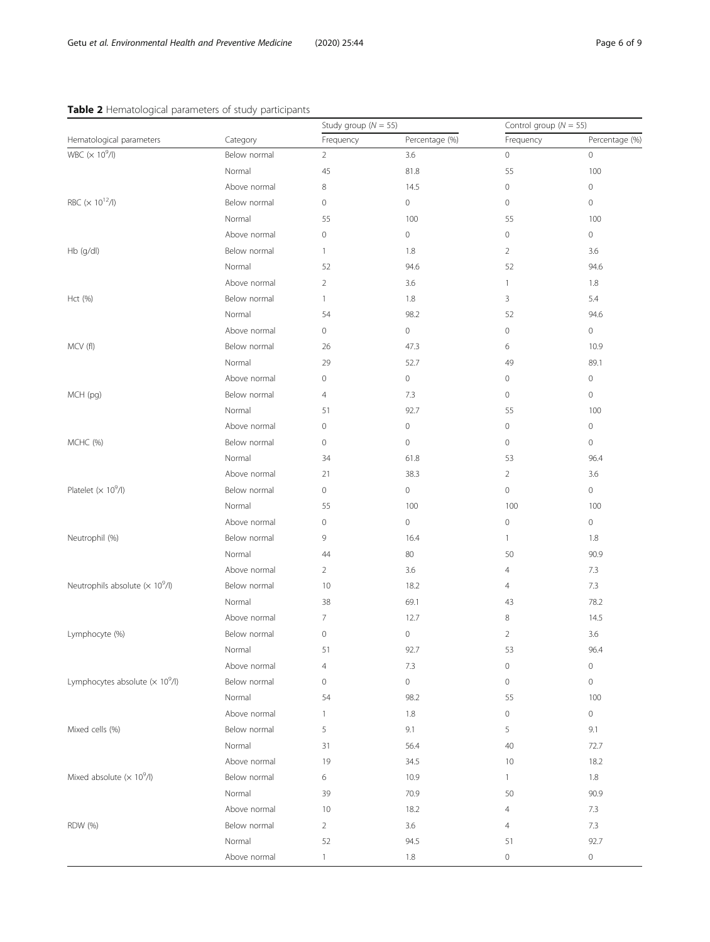# <span id="page-5-0"></span>Table 2 Hematological parameters of study participants

| Hematological parameters<br>Category<br>Frequency<br>Percentage (%)<br>Frequency<br>Percentage (%)<br>WBC $(\times 10^9/l)$<br>Below normal<br>3.6<br>$\circ$<br>0<br>2<br>55<br>100<br>Normal<br>45<br>81.8<br>Above normal<br>8<br>14.5<br>$\circ$<br>0<br>RBC ( $\times$ 10 <sup>12</sup> /l)<br>Below normal<br>0<br>0<br>$\circ$<br>0<br>Normal<br>55<br>100<br>55<br>100 |
|--------------------------------------------------------------------------------------------------------------------------------------------------------------------------------------------------------------------------------------------------------------------------------------------------------------------------------------------------------------------------------|
|                                                                                                                                                                                                                                                                                                                                                                                |
|                                                                                                                                                                                                                                                                                                                                                                                |
|                                                                                                                                                                                                                                                                                                                                                                                |
|                                                                                                                                                                                                                                                                                                                                                                                |
|                                                                                                                                                                                                                                                                                                                                                                                |
|                                                                                                                                                                                                                                                                                                                                                                                |
| Above normal<br>0<br>0<br>0<br>0                                                                                                                                                                                                                                                                                                                                               |
| Hb (g/dl)<br>Below normal<br>1.8<br>$\overline{2}$<br>$\mathbf{1}$<br>3.6                                                                                                                                                                                                                                                                                                      |
| Normal<br>52<br>94.6<br>52<br>94.6                                                                                                                                                                                                                                                                                                                                             |
| Above normal<br>1.8<br>2<br>3.6<br>$\mathbf{1}$                                                                                                                                                                                                                                                                                                                                |
| Below normal<br>1.8<br>3<br>5.4<br>Hct (%)<br>$\mathbf{1}$                                                                                                                                                                                                                                                                                                                     |
| Normal<br>54<br>98.2<br>52<br>94.6                                                                                                                                                                                                                                                                                                                                             |
| $\mathsf{O}\xspace$<br>Above normal<br>0<br>0<br>$\mathsf{O}\xspace$                                                                                                                                                                                                                                                                                                           |
| MCV (fl)<br>Below normal<br>26<br>47.3<br>6<br>10.9                                                                                                                                                                                                                                                                                                                            |
| Normal<br>29<br>52.7<br>49<br>89.1                                                                                                                                                                                                                                                                                                                                             |
| Above normal<br>0<br>0<br>0<br>$\mathsf{O}\xspace$                                                                                                                                                                                                                                                                                                                             |
| MCH (pg)<br>Below normal<br>$\circ$<br>0<br>$\overline{4}$<br>7.3                                                                                                                                                                                                                                                                                                              |
| Normal<br>92.7<br>55<br>100<br>51                                                                                                                                                                                                                                                                                                                                              |
| Above normal<br>0<br>0<br>0<br>0                                                                                                                                                                                                                                                                                                                                               |
| MCHC (%)<br>Below normal<br>0<br>$\mathsf{O}\xspace$<br>$\circ$<br>0                                                                                                                                                                                                                                                                                                           |
| Normal<br>34<br>61.8<br>53<br>96.4                                                                                                                                                                                                                                                                                                                                             |
| Above normal<br>21<br>38.3<br>$\overline{2}$<br>3.6                                                                                                                                                                                                                                                                                                                            |
| Platelet $(\times 10^9/l)$<br>Below normal<br>0<br>$\circ$<br>0<br>0                                                                                                                                                                                                                                                                                                           |
| Normal<br>55<br>100<br>100<br>100                                                                                                                                                                                                                                                                                                                                              |
| Above normal<br>0<br>$\circ$<br>0<br>0                                                                                                                                                                                                                                                                                                                                         |
| Neutrophil (%)<br>Below normal<br>9<br>16.4<br>$\mathbf{1}$<br>1.8                                                                                                                                                                                                                                                                                                             |
| Normal<br>80<br>90.9<br>44<br>50                                                                                                                                                                                                                                                                                                                                               |
| Above normal<br>3.6<br>7.3<br>2<br>4                                                                                                                                                                                                                                                                                                                                           |
| Neutrophils absolute $(\times 10^9/l)$<br>Below normal<br>7.3<br>10<br>18.2<br>$\overline{4}$                                                                                                                                                                                                                                                                                  |
| Normal<br>38<br>69.1<br>78.2<br>43                                                                                                                                                                                                                                                                                                                                             |
| Above normal<br>7<br>12.7<br>8<br>14.5                                                                                                                                                                                                                                                                                                                                         |
| Lymphocyte (%)<br>Below normal<br>3.6<br>0<br>0<br>2                                                                                                                                                                                                                                                                                                                           |
| 92.7<br>96.4<br>Normal<br>53<br>51                                                                                                                                                                                                                                                                                                                                             |
| Above normal<br>7.3<br>$\mathsf{O}\xspace$<br>$\mathsf{O}\xspace$<br>4                                                                                                                                                                                                                                                                                                         |
| Lymphocytes absolute $(\times 10^9/l)$<br>$\mathsf{O}\xspace$<br>Below normal<br>$\mathbf 0$<br>0<br>$\mathsf{O}\xspace$                                                                                                                                                                                                                                                       |
| Normal<br>98.2<br>55<br>100<br>54                                                                                                                                                                                                                                                                                                                                              |
| Above normal<br>1.8<br>0<br>0<br>1                                                                                                                                                                                                                                                                                                                                             |
| Mixed cells (%)<br>Below normal<br>5<br>9.1<br>5<br>9.1                                                                                                                                                                                                                                                                                                                        |
| Normal<br>56.4<br>40<br>72.7<br>31                                                                                                                                                                                                                                                                                                                                             |
| Above normal<br>19<br>34.5<br>18.2<br>10                                                                                                                                                                                                                                                                                                                                       |
| Mixed absolute $(x 10^9/l)$<br>Below normal<br>10.9<br>1.8<br>6<br>$\mathbf{1}$                                                                                                                                                                                                                                                                                                |
| Normal<br>70.9<br>90.9<br>39<br>50                                                                                                                                                                                                                                                                                                                                             |
| Above normal<br>7.3<br>10<br>18.2<br>4                                                                                                                                                                                                                                                                                                                                         |
| Below normal<br>$\overline{2}$<br>3.6<br>7.3<br><b>RDW</b> (%)<br>4                                                                                                                                                                                                                                                                                                            |
| Normal<br>52<br>92.7<br>94.5<br>51                                                                                                                                                                                                                                                                                                                                             |
| Above normal<br>$\mathsf{O}\xspace$<br>0<br>$\mathbf{1}$<br>1.8                                                                                                                                                                                                                                                                                                                |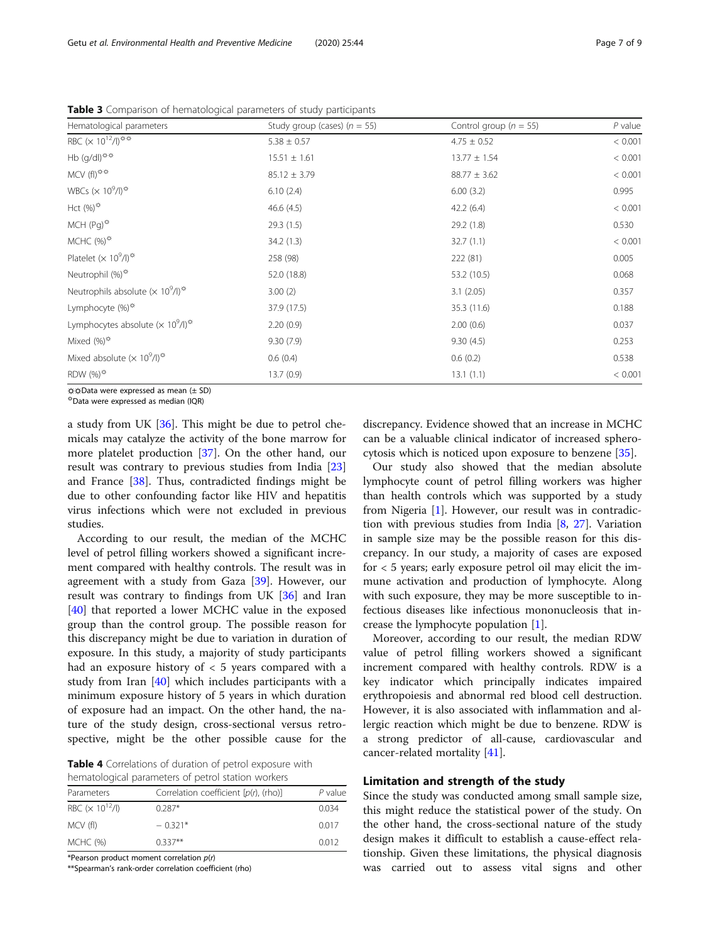| Hematological parameters                                                                  | Study group (cases) ( $n = 55$ ) | Control group ( $n = 55$ ) | $P$ value |
|-------------------------------------------------------------------------------------------|----------------------------------|----------------------------|-----------|
| RBC $(\times 10^{12}/I)^{33}$                                                             | $5.38 \pm 0.57$                  | $4.75 \pm 0.52$            | < 0.001   |
| Hb $(g/dI)$ <sup>**</sup>                                                                 | $15.51 \pm 1.61$                 | $13.77 \pm 1.54$           | < 0.001   |
| $MCV(fI)^{\text{max}}$                                                                    | $85.12 \pm 3.79$                 | $88.77 \pm 3.62$           | < 0.001   |
| WBCs ( $\times$ 10 <sup>9</sup> /l) <sup><math>\ddot{\varphi}</math></sup>                | 6.10(2.4)                        | 6.00(3.2)                  | 0.995     |
| Hct $(%)^{\ddot{\varphi}}$                                                                | 46.6(4.5)                        | 42.2(6.4)                  | < 0.001   |
| MCH $(Pq)^{\ddot{\varphi}}$                                                               | 29.3(1.5)                        | 29.2 (1.8)                 | 0.530     |
| MCHC $(%)^{\text{tx}}$                                                                    | 34.2(1.3)                        | 32.7(1.1)                  | < 0.001   |
| Platelet ( $\times$ 10 <sup>9</sup> /l) <sup><math>\ddot{\varphi}</math></sup>            | 258 (98)                         | 222 (81)                   | 0.005     |
| Neutrophil $(\%)^{\hat{\varphi}}$                                                         | 52.0 (18.8)                      | 53.2 (10.5)                | 0.068     |
| Neutrophils absolute ( $\times$ 10 <sup>9</sup> /l) <sup><math>\frac{1}{2}</math></sup>   | 3.00(2)                          | 3.1(2.05)                  | 0.357     |
| Lymphocyte $(\%)^{\mathfrak{P}}$                                                          | 37.9 (17.5)                      | 35.3 (11.6)                | 0.188     |
| Lymphocytes absolute ( $\times$ 10 <sup>9</sup> /l) <sup><math>\frac{\pi}{2}</math></sup> | 2.20(0.9)                        | 2.00(0.6)                  | 0.037     |
| Mixed $(%)^{\text{#}}$                                                                    | 9.30(7.9)                        | 9.30(4.5)                  | 0.253     |
| Mixed absolute $(x 10^9/l)^{1/2}$                                                         | 0.6(0.4)                         | 0.6(0.2)                   | 0.538     |
| RDW $(\%)^{\frac{1}{\sqrt{x}}}$                                                           | 13.7(0.9)                        | 13.1(1.1)                  | < 0.001   |

<span id="page-6-0"></span>Table 3 Comparison of hematological parameters of study participants

☼☼Data were expressed as mean (± SD) ☼Data were expressed as median (IQR)

a study from UK [[36\]](#page-8-0). This might be due to petrol chemicals may catalyze the activity of the bone marrow for more platelet production [\[37](#page-8-0)]. On the other hand, our result was contrary to previous studies from India [[23](#page-8-0)] and France [[38\]](#page-8-0). Thus, contradicted findings might be due to other confounding factor like HIV and hepatitis virus infections which were not excluded in previous studies.

According to our result, the median of the MCHC level of petrol filling workers showed a significant increment compared with healthy controls. The result was in agreement with a study from Gaza [[39\]](#page-8-0). However, our result was contrary to findings from UK [\[36\]](#page-8-0) and Iran [[40\]](#page-8-0) that reported a lower MCHC value in the exposed group than the control group. The possible reason for this discrepancy might be due to variation in duration of exposure. In this study, a majority of study participants had an exposure history of < 5 years compared with a study from Iran [[40\]](#page-8-0) which includes participants with a minimum exposure history of 5 years in which duration of exposure had an impact. On the other hand, the nature of the study design, cross-sectional versus retrospective, might be the other possible cause for the

Table 4 Correlations of duration of petrol exposure with hematological parameters of petrol station workers

| Parameters                          | Correlation coefficient $[p(r)]$ , (rho)] | P value |
|-------------------------------------|-------------------------------------------|---------|
| RBC ( $\times$ 10 <sup>12</sup> /l) | $0.287*$                                  | 0.034   |
| MCV (fl)                            | $-0.321*$                                 | 0.017   |
| MCHC (%)                            | $0.337**$                                 | 0.012   |

\*Pearson product moment correlation p(r)

\*\*Spearman's rank-order correlation coefficient (rho)

discrepancy. Evidence showed that an increase in MCHC can be a valuable clinical indicator of increased spherocytosis which is noticed upon exposure to benzene [\[35](#page-8-0)].

Our study also showed that the median absolute lymphocyte count of petrol filling workers was higher than health controls which was supported by a study from Nigeria [\[1\]](#page-7-0). However, our result was in contradiction with previous studies from India [\[8](#page-7-0), [27](#page-8-0)]. Variation in sample size may be the possible reason for this discrepancy. In our study, a majority of cases are exposed for  $<$  5 years; early exposure petrol oil may elicit the immune activation and production of lymphocyte. Along with such exposure, they may be more susceptible to infectious diseases like infectious mononucleosis that increase the lymphocyte population [[1\]](#page-7-0).

Moreover, according to our result, the median RDW value of petrol filling workers showed a significant increment compared with healthy controls. RDW is a key indicator which principally indicates impaired erythropoiesis and abnormal red blood cell destruction. However, it is also associated with inflammation and allergic reaction which might be due to benzene. RDW is a strong predictor of all-cause, cardiovascular and cancer-related mortality [\[41\]](#page-8-0).

# Limitation and strength of the study

Since the study was conducted among small sample size, this might reduce the statistical power of the study. On the other hand, the cross-sectional nature of the study design makes it difficult to establish a cause-effect relationship. Given these limitations, the physical diagnosis was carried out to assess vital signs and other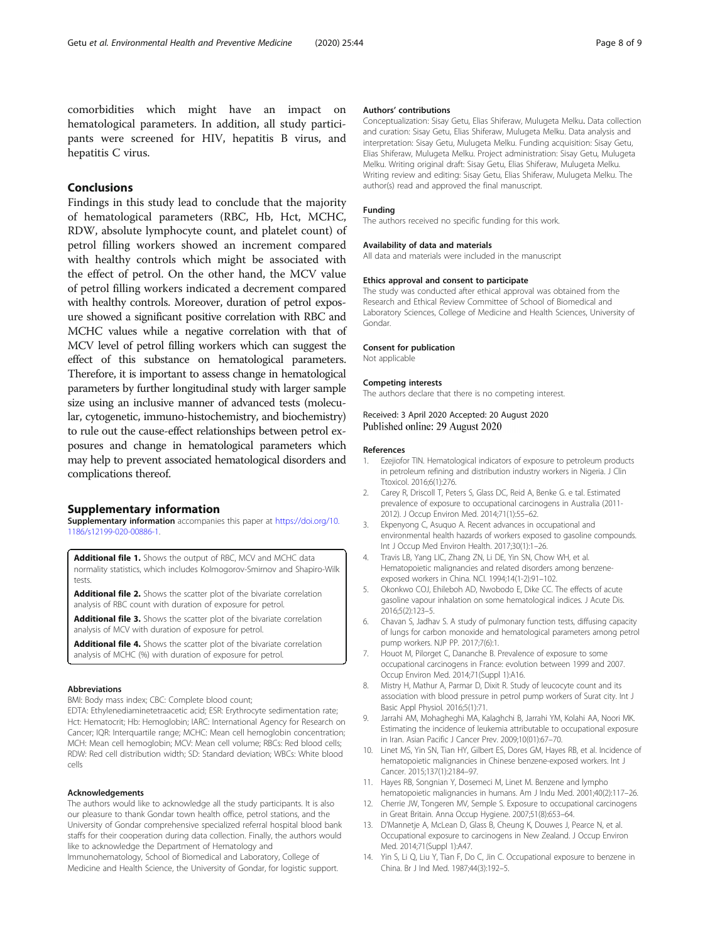<span id="page-7-0"></span>comorbidities which might have an impact on hematological parameters. In addition, all study participants were screened for HIV, hepatitis B virus, and hepatitis C virus.

# Conclusions

Findings in this study lead to conclude that the majority of hematological parameters (RBC, Hb, Hct, MCHC, RDW, absolute lymphocyte count, and platelet count) of petrol filling workers showed an increment compared with healthy controls which might be associated with the effect of petrol. On the other hand, the MCV value of petrol filling workers indicated a decrement compared with healthy controls. Moreover, duration of petrol exposure showed a significant positive correlation with RBC and MCHC values while a negative correlation with that of MCV level of petrol filling workers which can suggest the effect of this substance on hematological parameters. Therefore, it is important to assess change in hematological parameters by further longitudinal study with larger sample size using an inclusive manner of advanced tests (molecular, cytogenetic, immuno-histochemistry, and biochemistry) to rule out the cause-effect relationships between petrol exposures and change in hematological parameters which may help to prevent associated hematological disorders and complications thereof.

#### Supplementary information

Supplementary information accompanies this paper at [https://doi.org/10.](https://doi.org/10.1186/s12199-020-00886-1) [1186/s12199-020-00886-1](https://doi.org/10.1186/s12199-020-00886-1).

Additional file 1. Shows the output of RBC, MCV and MCHC data normality statistics, which includes Kolmogorov-Smirnov and Shapiro-Wilk tests.

Additional file 2. Shows the scatter plot of the bivariate correlation analysis of RBC count with duration of exposure for petrol.

Additional file 3. Shows the scatter plot of the bivariate correlation analysis of MCV with duration of exposure for petrol.

Additional file 4. Shows the scatter plot of the bivariate correlation analysis of MCHC (%) with duration of exposure for petrol.

#### Abbreviations

BMI: Body mass index; CBC: Complete blood count;

EDTA: Ethylenediaminetetraacetic acid; ESR: Erythrocyte sedimentation rate; Hct: Hematocrit; Hb: Hemoglobin; IARC: International Agency for Research on Cancer; IQR: Interquartile range; MCHC: Mean cell hemoglobin concentration; MCH: Mean cell hemoglobin; MCV: Mean cell volume; RBCs: Red blood cells; RDW: Red cell distribution width; SD: Standard deviation; WBCs: White blood cells

#### Acknowledgements

The authors would like to acknowledge all the study participants. It is also our pleasure to thank Gondar town health office, petrol stations, and the University of Gondar comprehensive specialized referral hospital blood bank staffs for their cooperation during data collection. Finally, the authors would like to acknowledge the Department of Hematology and

Immunohematology, School of Biomedical and Laboratory, College of Medicine and Health Science, the University of Gondar, for logistic support.

#### Authors' contributions

Conceptualization: Sisay Getu, Elias Shiferaw, Mulugeta Melku. Data collection and curation: Sisay Getu, Elias Shiferaw, Mulugeta Melku. Data analysis and interpretation: Sisay Getu, Mulugeta Melku. Funding acquisition: Sisay Getu, Elias Shiferaw, Mulugeta Melku. Project administration: Sisay Getu, Mulugeta Melku. Writing original draft: Sisay Getu, Elias Shiferaw, Mulugeta Melku. Writing review and editing: Sisay Getu, Elias Shiferaw, Mulugeta Melku. The author(s) read and approved the final manuscript.

#### Funding

The authors received no specific funding for this work.

#### Availability of data and materials

All data and materials were included in the manuscript

#### Ethics approval and consent to participate

The study was conducted after ethical approval was obtained from the Research and Ethical Review Committee of School of Biomedical and Laboratory Sciences, College of Medicine and Health Sciences, University of Gondar.

#### Consent for publication

Not applicable

#### Competing interests

The authors declare that there is no competing interest.

#### Received: 3 April 2020 Accepted: 20 August 2020 Published online: 29 August 2020

#### References

- 1. Ezejiofor TIN. Hematological indicators of exposure to petroleum products in petroleum refining and distribution industry workers in Nigeria. J Clin Ttoxicol. 2016;6(1):276.
- 2. Carey R, Driscoll T, Peters S, Glass DC, Reid A, Benke G. e tal. Estimated prevalence of exposure to occupational carcinogens in Australia (2011- 2012). J Occup Environ Med. 2014;71(1):55–62.
- 3. Ekpenyong C, Asuquo A. Recent advances in occupational and environmental health hazards of workers exposed to gasoline compounds. Int J Occup Med Environ Health. 2017;30(1):1–26.
- 4. Travis LB, Yang LIC, Zhang ZN, Li DE, Yin SN, Chow WH, et al. Hematopoietic malignancies and related disorders among benzeneexposed workers in China. NCI. 1994;14(1-2):91–102.
- 5. Okonkwo COJ, Ehileboh AD, Nwobodo E, Dike CC. The effects of acute gasoline vapour inhalation on some hematological indices. J Acute Dis. 2016;5(2):123–5.
- 6. Chavan S, Jadhav S. A study of pulmonary function tests, diffusing capacity of lungs for carbon monoxide and hematological parameters among petrol pump workers. NJP PP. 2017;7(6):1.
- 7. Houot M, Pilorget C, Dananche B. Prevalence of exposure to some occupational carcinogens in France: evolution between 1999 and 2007. Occup Environ Med. 2014;71(Suppl 1):A16.
- 8. Mistry H, Mathur A, Parmar D, Dixit R. Study of leucocyte count and its association with blood pressure in petrol pump workers of Surat city. Int J Basic Appl Physiol. 2016;5(1):71.
- 9. Jarrahi AM, Mohagheghi MA, Kalaghchi B, Jarrahi YM, Kolahi AA, Noori MK. Estimating the incidence of leukemia attributable to occupational exposure in Iran. Asian Pacific J Cancer Prev. 2009;10(01):67–70.
- 10. Linet MS, Yin SN, Tian HY, Gilbert ES, Dores GM, Hayes RB, et al. Incidence of hematopoietic malignancies in Chinese benzene-exposed workers. Int J Cancer. 2015;137(1):2184–97.
- 11. Hayes RB, Songnian Y, Dosemeci M, Linet M. Benzene and lympho
- hematopoietic malignancies in humans. Am J Indu Med. 2001;40(2):117–26. 12. Cherrie JW, Tongeren MV, Semple S. Exposure to occupational carcinogens
- in Great Britain. Anna Occup Hygiene. 2007;51(8):653–64. 13. D'Mannetje A, McLean D, Glass B, Cheung K, Douwes J, Pearce N, et al. Occupational exposure to carcinogens in New Zealand. J Occup Environ Med. 2014;71(Suppl 1):A47.
- 14. Yin S, Li Q, Liu Y, Tian F, Do C, Jin C. Occupational exposure to benzene in China. Br J Ind Med. 1987;44(3):192–5.